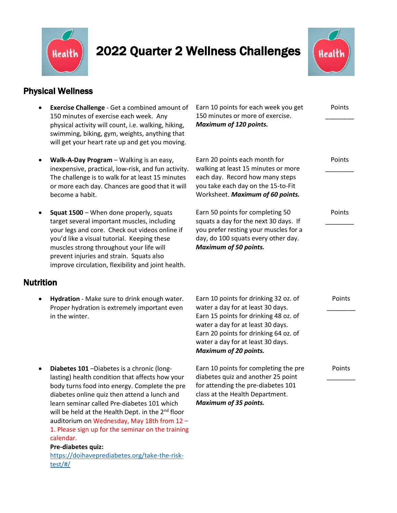

# 2022 Quarter 2 Wellness Challenges



Points

Points \_\_\_\_\_\_\_\_

Points \_\_\_\_\_\_\_\_

 $\overline{\phantom{a}}$ 

### Physical Wellness

- **Exercise Challenge** Get a combined amount of 150 minutes of exercise each week. Any physical activity will count, i.e. walking, hiking, swimming, biking, gym, weights, anything that will get your heart rate up and get you moving.
- **Walk-A-Day Program** Walking is an easy, inexpensive, practical, low-risk, and fun activity. The challenge is to walk for at least 15 minutes or more each day. Chances are good that it will become a habit.
- **Squat 1500** When done properly, squats target several important muscles, including your legs and core. Check out videos online if you'd like a visual tutorial. Keeping these muscles strong throughout your life will prevent injuries and strain. Squats also improve circulation, flexibility and joint health.

### Nutrition

 **Hydration** - Make sure to drink enough water. Proper hydration is extremely important even in the winter.

150 minutes or more of exercise. *Maximum of 120 points.* \_\_\_\_\_\_\_\_

Earn 10 points for each week you get

Earn 20 points each month for walking at least 15 minutes or more each day. Record how many steps you take each day on the 15-to-Fit Worksheet. *Maximum of 60 points.*

Earn 50 points for completing 50 squats a day for the next 30 days. If you prefer resting your muscles for a day, do 100 squats every other day. *Maximum of 50 points.*

- Earn 10 points for drinking 32 oz. of water a day for at least 30 days. Earn 15 points for drinking 48 oz. of water a day for at least 30 days. Earn 20 points for drinking 64 oz. of water a day for at least 30 days. *Maximum of 20 points.* Points \_\_\_\_\_\_\_\_ Earn 10 points for completing the pre Points
	- diabetes quiz and another 25 point for attending the pre-diabetes 101 class at the Health Department. *Maximum of 35 points.*
- **Diabetes 101** –Diabetes is a chronic (longlasting) health condition that affects how your body turns food into energy. Complete the pre diabetes online quiz then attend a lunch and learn seminar called Pre-diabetes 101 which will be held at the Health Dept. in the  $2<sup>nd</sup>$  floor auditorium on Wednesday, May 18th from 12 – 1. Please sign up for the seminar on the training calendar.

#### **Pre-diabetes quiz:**

[https://doihaveprediabetes.org/take-the-risk](https://doihaveprediabetes.org/take-the-risk-test/#/)[test/#/](https://doihaveprediabetes.org/take-the-risk-test/#/)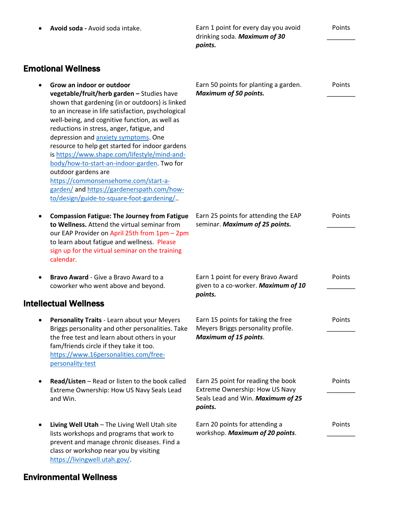*points.* Emotional Wellness **Grow an indoor or outdoor vegetable/fruit/herb garden –** Studies have shown that gardening (in or outdoors) is linked to an increase in life satisfaction, psychological well-being, and cognitive function, as well as reductions in stress, anger, fatigue, and depression and [anxiety symptoms.](https://www.shape.com/lifestyle/mind-and-body/why-you-should-stop-saying-you-have-anxiety-if-you-really-dont) One resource to help get started for indoor gardens i[s https://www.shape.com/lifestyle/mind-and](https://www.shape.com/lifestyle/mind-and-body/how-to-start-an-indoor-garden)[body/how-to-start-an-indoor-garden.](https://www.shape.com/lifestyle/mind-and-body/how-to-start-an-indoor-garden) Two for outdoor gardens are [https://commonsensehome.com/start-a](https://commonsensehome.com/start-a-garden/)[garden/](https://commonsensehome.com/start-a-garden/) and [https://gardenerspath.com/how](https://gardenerspath.com/how-to/design/guide-to-square-foot-gardening/)[to/design/guide-to-square-foot-gardening/.](https://gardenerspath.com/how-to/design/guide-to-square-foot-gardening/). Earn 50 points for planting a garden. *Maximum of 50 points.* Points  $\overline{\phantom{a}}$  **Compassion Fatigue: The Journey from Fatigue to Wellness.** Attend the virtual seminar from our EAP Provider on April 25th from 1pm – 2pm to learn about fatigue and wellness. Please sign up for the virtual seminar on the training calendar. Earn 25 points for attending the EAP seminar. *Maximum of 25 points.* Points  $\overline{\phantom{a}}$  **Bravo Award** - Give a Bravo Award to a coworker who went above and beyond. Earn 1 point for every Bravo Award given to a co-worker. *Maximum of 10 points.* Points \_\_\_\_\_\_\_\_ Intellectual Wellness **Personality Traits** - Learn about your Meyers Briggs personality and other personalities. Take the free test and learn about others in your fam/friends circle if they take it too. [https://www.16personalities.com/free](https://www.16personalities.com/free-%20%20%20%20%20%20%20%20%20personality-test)[personality-test](https://www.16personalities.com/free-%20%20%20%20%20%20%20%20%20personality-test) Earn 15 points for taking the free Meyers Briggs personality profile. *Maximum of 15 points*. Points \_\_\_\_\_\_\_\_ **Read/Listen** – Read or listen to the book called Extreme Ownership: How US Navy Seals Lead and Win. Earn 25 point for reading the book Extreme Ownership: How US Navy Seals Lead and Win. *Maximum of 25 points.* Points \_\_\_\_\_\_\_\_ **Living Well Utah** – The Living Well Utah site lists workshops and programs that work to prevent and manage chronic diseases. Find a class or workshop near you by visiting [https://livingwell.utah.gov/.](https://livingwell.utah.gov/) Earn 20 points for attending a workshop. *Maximum of 20 points*. Points \_\_\_\_\_\_\_\_

**Avoid soda -** Avoid soda intake. Earn 1 point for every day you avoid

drinking soda. *Maximum of 30* 

Points  $\overline{\phantom{a}}$ 

### Environmental Wellness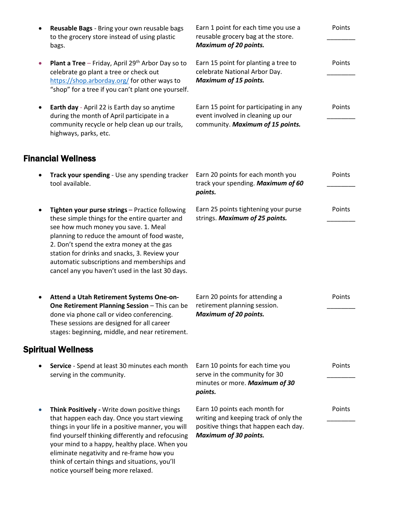| ٠         | Reusable Bags - Bring your own reusable bags<br>to the grocery store instead of using plastic<br>bags.                                                                                                                                                                                                                                                   | Earn 1 point for each time you use a<br>reusable grocery bag at the store.<br><b>Maximum of 20 points.</b>                                      | Points |
|-----------|----------------------------------------------------------------------------------------------------------------------------------------------------------------------------------------------------------------------------------------------------------------------------------------------------------------------------------------------------------|-------------------------------------------------------------------------------------------------------------------------------------------------|--------|
| $\bullet$ | <b>Plant a Tree</b> – Friday, April 29 <sup>th</sup> Arbor Day so to<br>celebrate go plant a tree or check out<br>https://shop.arborday.org/ for other ways to<br>"shop" for a tree if you can't plant one yourself.                                                                                                                                     | Earn 15 point for planting a tree to<br>celebrate National Arbor Day.<br><b>Maximum of 15 points.</b>                                           | Points |
|           | Earth day - April 22 is Earth day so anytime<br>during the month of April participate in a<br>community recycle or help clean up our trails,<br>highways, parks, etc.                                                                                                                                                                                    | Earn 15 point for participating in any<br>event involved in cleaning up our<br>community. Maximum of 15 points.                                 | Points |
|           | <b>Financial Wellness</b>                                                                                                                                                                                                                                                                                                                                |                                                                                                                                                 |        |
|           | Track your spending - Use any spending tracker<br>tool available.                                                                                                                                                                                                                                                                                        | Earn 20 points for each month you<br>track your spending. Maximum of 60<br>points.                                                              | Points |
|           | Tighten your purse strings - Practice following<br>these simple things for the entire quarter and<br>see how much money you save. 1. Meal                                                                                                                                                                                                                | Earn 25 points tightening your purse<br>strings. Maximum of 25 points.                                                                          | Points |
|           | planning to reduce the amount of food waste,<br>2. Don't spend the extra money at the gas<br>station for drinks and snacks, 3. Review your<br>automatic subscriptions and memberships and<br>cancel any you haven't used in the last 30 days.                                                                                                            |                                                                                                                                                 |        |
|           | Attend a Utah Retirement Systems One-on-<br>One Retirement Planning Session - This can be                                                                                                                                                                                                                                                                | Earn 20 points for attending a<br>retirement planning session.                                                                                  | Points |
|           | done via phone call or video conferencing.<br>These sessions are designed for all career<br>stages: beginning, middle, and near retirement.                                                                                                                                                                                                              | <b>Maximum of 20 points.</b>                                                                                                                    |        |
|           | <b>Spiritual Wellness</b>                                                                                                                                                                                                                                                                                                                                |                                                                                                                                                 |        |
|           | Service - Spend at least 30 minutes each month<br>serving in the community.                                                                                                                                                                                                                                                                              | Earn 10 points for each time you<br>serve in the community for 30<br>minutes or more. Maximum of 30<br>points.                                  | Points |
|           | Think Positively - Write down positive things<br>that happen each day. Once you start viewing<br>things in your life in a positive manner, you will<br>find yourself thinking differently and refocusing<br>your mind to a happy, healthy place. When you<br>eliminate negativity and re-frame how you<br>think of certain things and situations, you'll | Earn 10 points each month for<br>writing and keeping track of only the<br>positive things that happen each day.<br><b>Maximum of 30 points.</b> | Points |

notice yourself being more relaxed.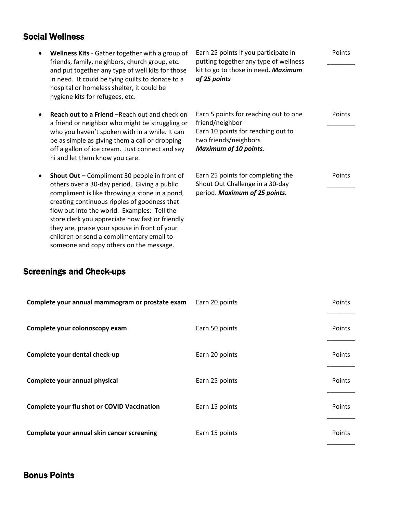### Social Wellness

| Wellness Kits - Gather together with a group of<br>friends, family, neighbors, church group, etc.<br>and put together any type of well kits for those<br>in need. It could be tying quilts to donate to a<br>hospital or homeless shelter, it could be<br>hygiene kits for refugees, etc.         | Earn 25 points if you participate in<br>putting together any type of wellness<br>kit to go to those in need. Maximum<br>of 25 points                    | Points |
|---------------------------------------------------------------------------------------------------------------------------------------------------------------------------------------------------------------------------------------------------------------------------------------------------|---------------------------------------------------------------------------------------------------------------------------------------------------------|--------|
| <b>Reach out to a Friend</b> – Reach out and check on<br>a friend or neighbor who might be struggling or<br>who you haven't spoken with in a while. It can<br>be as simple as giving them a call or dropping<br>off a gallon of ice cream. Just connect and say<br>hi and let them know you care. | Earn 5 points for reaching out to one<br>friend/neighbor<br>Earn 10 points for reaching out to<br>two friends/neighbors<br><b>Maximum of 10 points.</b> | Points |
| Shout Out - Compliment 30 people in front of<br>others over a 30-day period. Giving a public<br>compliment is like throwing a stone in a pond,<br>creating continuous ripples of goodness that<br>flow out into the world. Examples: Tell the<br>store clerk you appreciate how fast or friendly  | Earn 25 points for completing the<br>Shout Out Challenge in a 30-day<br>period. Maximum of 25 points.                                                   | Points |

## Screenings and Check-ups

they are, praise your spouse in front of your children or send a complimentary email to someone and copy others on the message.

| Complete your annual mammogram or prostate exam | Earn 20 points | Points |
|-------------------------------------------------|----------------|--------|
| Complete your colonoscopy exam                  | Earn 50 points | Points |
| Complete your dental check-up                   | Earn 20 points | Points |
| Complete your annual physical                   | Earn 25 points | Points |
| Complete your flu shot or COVID Vaccination     | Earn 15 points | Points |
| Complete your annual skin cancer screening      | Earn 15 points | Points |